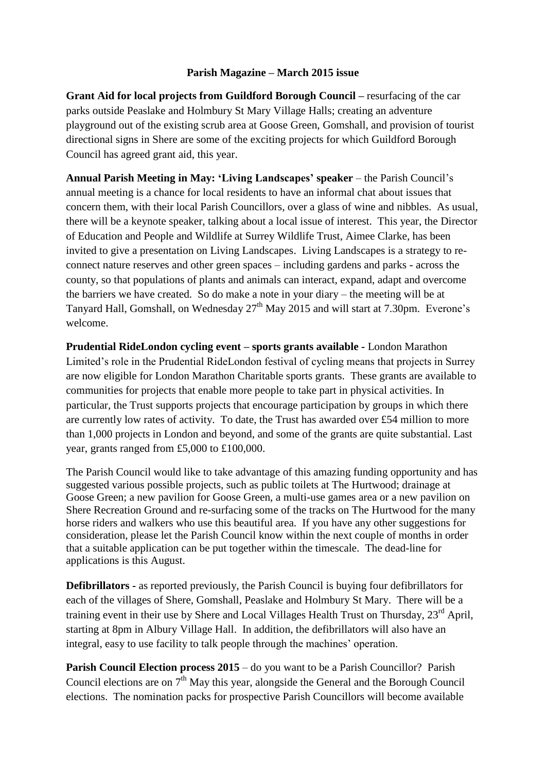## **Parish Magazine – March 2015 issue**

**Grant Aid for local projects from Guildford Borough Council –** resurfacing of the car parks outside Peaslake and Holmbury St Mary Village Halls; creating an adventure playground out of the existing scrub area at Goose Green, Gomshall, and provision of tourist directional signs in Shere are some of the exciting projects for which Guildford Borough Council has agreed grant aid, this year.

**Annual Parish Meeting in May: 'Living Landscapes' speaker** – the Parish Council's annual meeting is a chance for local residents to have an informal chat about issues that concern them, with their local Parish Councillors, over a glass of wine and nibbles. As usual, there will be a keynote speaker, talking about a local issue of interest. This year, the Director of Education and People and Wildlife at Surrey Wildlife Trust, Aimee Clarke, has been invited to give a presentation on Living Landscapes. Living Landscapes is a strategy to reconnect nature reserves and other green spaces – including gardens and parks - across the county, so that populations of plants and animals can interact, expand, adapt and overcome the barriers we have created. So do make a note in your diary – the meeting will be at Tanyard Hall, Gomshall, on Wednesday  $27<sup>th</sup>$  May 2015 and will start at 7.30pm. Everone's welcome.

**Prudential RideLondon cycling event – sports grants available -** London Marathon Limited's role in the Prudential RideLondon festival of cycling means that projects in Surrey are now eligible for London Marathon Charitable sports grants. These grants are available to communities for projects that enable more people to take part in physical activities. In particular, the Trust supports projects that encourage participation by groups in which there are currently low rates of activity. To date, the Trust has awarded over £54 million to more than 1,000 projects in London and beyond, and some of the grants are quite substantial. Last year, grants ranged from £5,000 to £100,000.

The Parish Council would like to take advantage of this amazing funding opportunity and has suggested various possible projects, such as public toilets at The Hurtwood; drainage at Goose Green; a new pavilion for Goose Green, a multi-use games area or a new pavilion on Shere Recreation Ground and re-surfacing some of the tracks on The Hurtwood for the many horse riders and walkers who use this beautiful area. If you have any other suggestions for consideration, please let the Parish Council know within the next couple of months in order that a suitable application can be put together within the timescale. The dead-line for applications is this August.

**Defibrillators -** as reported previously, the Parish Council is buying four defibrillators for each of the villages of Shere, Gomshall, Peaslake and Holmbury St Mary. There will be a training event in their use by Shere and Local Villages Health Trust on Thursday, 23<sup>rd</sup> April, starting at 8pm in Albury Village Hall. In addition, the defibrillators will also have an integral, easy to use facility to talk people through the machines' operation.

**Parish Council Election process 2015** – do you want to be a Parish Councillor? Parish Council elections are on  $7<sup>th</sup>$  May this year, alongside the General and the Borough Council elections. The nomination packs for prospective Parish Councillors will become available